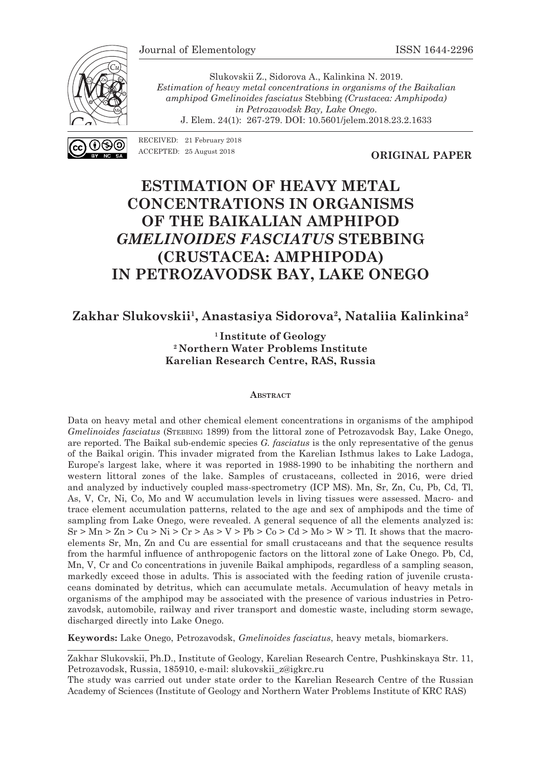

Slukovskii Z., Sidorova A., Kalinkina N. 2019. *Estimation of heavy metal concentrations in organisms of the Baikalian amphipod Gmelinoides fasciatus* Stebbing *(Crustacea: Amphipoda) in Petrozavodsk Bay, Lake Onego*. J. Elem. 24(1): 267-279. DOI: 10.5601/jelem.2018.23.2.1633

RECEIVED: 21 February 2018 ACCEPTED: 25 August 2018

**ORIGINAL PAPER**

# **ESTIMATION OF HEAVY METAL CONCENTRATIONS IN ORGANISMS OF THE BAIKALIAN AMPHIPOD**  *GMELINOIDES FASCIATUS* **STEBBING (CRUSTACEA: AMPHIPODA) IN PETROZAVODSK BAY, LAKE ONEGO**

#### **Zakhar Slukovskii1 , Anastasiya Sidorova2 , Nataliia Kalinkina2**

**1 Institute of Geology 2 Northern Water Problems Institute Karelian Research Centre, RAS, Russia**

#### **Abstract**

Data on heavy metal and other chemical element concentrations in organisms of the amphipod *Gmelinoides fasciatus (STEBBING 1899) from the littoral zone of Petrozavodsk Bay, Lake Onego,* are reported. The Baikal sub-endemic species *G. fasciatus* is the only representative of the genus of the Baikal origin. This invader migrated from the Karelian Isthmus lakes to Lake Ladoga, Europe's largest lake, where it was reported in 1988-1990 to be inhabiting the northern and western littoral zones of the lake. Samples of crustaceans, collected in 2016, were dried and analyzed by inductively coupled mass-spectrometry (ICP MS). Mn, Sr, Zn, Cu, Pb, Cd, Tl, As, V, Cr, Ni, Co, Mo and W accumulation levels in living tissues were assessed. Macro- and trace element accumulation patterns, related to the age and sex of amphipods and the time of sampling from Lake Onego, were revealed. A general sequence of all the elements analyzed is:  $Sr > Mn > Zn > Cu > Ni > Cr > As > V > Pb > Co > Cd > Mo > W > Tl$ . It shows that the macroelements Sr, Mn, Zn and Cu are essential for small crustaceans and that the sequence results from the harmful influence of anthropogenic factors on the littoral zone of Lake Onego. Pb, Cd, Mn, V, Cr and Co concentrations in juvenile Baikal amphipods, regardless of a sampling season, markedly exceed those in adults. This is associated with the feeding ration of juvenile crustaceans dominated by detritus, which can accumulate metals. Accumulation of heavy metals in organisms of the amphipod may be associated with the presence of various industries in Petrozavodsk, automobile, railway and river transport and domestic waste, including storm sewage, discharged directly into Lake Onego.

**Keywords:** Lake Onego, Petrozavodsk, *Gmelinoides fasciatus*, heavy metals, biomarkers.

Zakhar Slukovskii, Ph.D., Institute of Geology, Karelian Research Centre, Pushkinskaya Str. 11, Petrozavodsk, Russia, 185910, e-mail: slukovskii\_z@igkrc.ru

The study was carried out under state order to the Karelian Research Centre of the Russian Academy of Sciences (Institute of Geology and Northern Water Problems Institute of KRC RAS)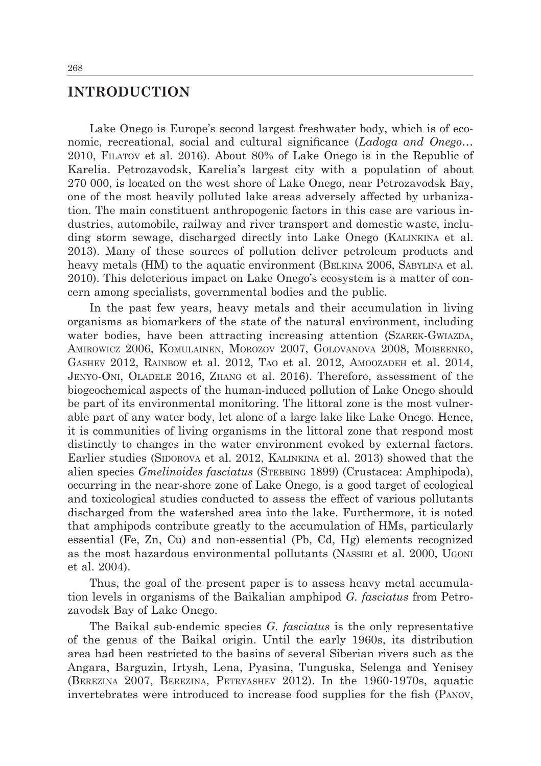#### **INTRODUCTION**

Lake Onego is Europe's second largest freshwater body, which is of economic, recreational, social and cultural significance (*Ladoga and Onego*… 2010, Filatov et al. 2016). About 80% of Lake Onego is in the Republic of Karelia. Petrozavodsk, Karelia's largest city with a population of about 270 000, is located on the west shore of Lake Onego, near Petrozavodsk Bay, one of the most heavily polluted lake areas adversely affected by urbanization. The main constituent anthropogenic factors in this case are various industries, automobile, railway and river transport and domestic waste, including storm sewage, discharged directly into Lake Onego (Kalinkina et al. 2013). Many of these sources of pollution deliver petroleum products and heavy metals (HM) to the aquatic environment (BELKINA 2006, SABYLINA et al. 2010). This deleterious impact on Lake Onego's ecosystem is a matter of concern among specialists, governmental bodies and the public.

In the past few years, heavy metals and their accumulation in living organisms as biomarkers of the state of the natural environment, including water bodies, have been attracting increasing attention (SZAREK-GWIAZDA, Amirowicz 2006, Komulainen, Morozov 2007, Golovanova 2008, Moiseenko, Gashev 2012, Rainbow et al. 2012, Tao et al. 2012, Amoozadeh et al. 2014, Jenyo-Oni, Oladele 2016, Zhang et al. 2016). Therefore, assessment of the biogeochemical aspects of the human-induced pollution of Lake Onego should be part of its environmental monitoring. The littoral zone is the most vulnerable part of any water body, let alone of a large lake like Lake Onego. Hence, it is communities of living organisms in the littoral zone that respond most distinctly to changes in the water environment evoked by external factors. Earlier studies (SIDOROVA et al. 2012, KALINKINA et al. 2013) showed that the alien species *Gmelinoides fasciatus* (Stebbing 1899) (Crustacea: Amphipoda), occurring in the near-shore zone of Lake Onego, is a good target of ecological and toxicological studies conducted to assess the effect of various pollutants discharged from the watershed area into the lake. Furthermore, it is noted that amphipods contribute greatly to the accumulation of HMs, particularly essential (Fe, Zn, Cu) and non-essential (Pb, Cd, Hg) elements recognized as the most hazardous environmental pollutants (Nassiri et al. 2000, Ugoni et al. 2004).

Thus, the goal of the present paper is to assess heavy metal accumulation levels in organisms of the Baikalian amphipod *G. fasciatus* from Petrozavodsk Bay of Lake Onego.

The Baikal sub-endemic species *G. fasciatus* is the only representative of the genus of the Baikal origin. Until the early 1960s, its distribution area had been restricted to the basins of several Siberian rivers such as the Angara, Barguzin, Irtysh, Lena, Pyasina, Tunguska, Selenga and Yenisey (Berezina 2007, Berezina, Petryashev 2012). In the 1960-1970s, aquatic invertebrates were introduced to increase food supplies for the fish (Panov,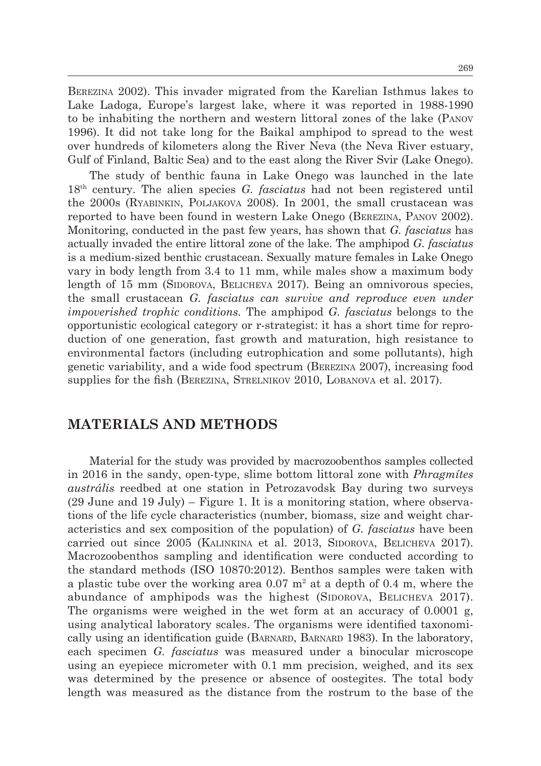Berezina 2002). This invader migrated from the Karelian Isthmus lakes to Lake Ladoga, Europe's largest lake, where it was reported in 1988-1990 to be inhabiting the northern and western littoral zones of the lake (Panov 1996). It did not take long for the Baikal amphipod to spread to the west over hundreds of kilometers along the River Neva (the Neva River estuary, Gulf of Finland, Baltic Sea) and to the east along the River Svir (Lake Onego).

The study of benthic fauna in Lake Onego was launched in the late 18th century. The alien species *G. fasciatus* had not been registered until the 2000s (Ryabinkin, Poljakova 2008). In 2001, the small crustacean was reported to have been found in western Lake Onego (Berezina, Panov 2002). Monitoring, conducted in the past few years, has shown that *G. fasciatus* has actually invaded the entire littoral zone of the lake. The amphipod *G. fasciatus* is a medium-sized benthic crustacean. Sexually mature females in Lake Onego vary in body length from 3.4 to 11 mm, while males show a maximum body length of  $15 \text{ mm}$  (SIDOROVA, BELICHEVA 2017). Being an omnivorous species, the small crustacean *G. fasciatus can survive and reproduce even under impoverished trophic conditions.* The amphipod *G. fasciatus* belongs to the opportunistic ecological category or r-strategist: it has a short time for reproduction of one generation, fast growth and maturation, high resistance to environmental factors (including eutrophication and some pollutants), high genetic variability, and a wide food spectrum (Berezina 2007), increasing food supplies for the fish (BEREZINA, STRELNIKOV 2010, LOBANOVA et al. 2017).

### **MATERIALS AND METHODS**

Material for the study was provided by macrozoobenthos samples collected in 2016 in the sandy, open-type, slime bottom littoral zone with *Phragmítes austrális* reedbed at one station in Petrozavodsk Bay during two surveys (29 June and 19 July) – Figure 1. It is a monitoring station, where observations of the life cycle characteristics (number, biomass, size and weight characteristics and sex composition of the population) of *G. fasciatus* have been carried out since 2005 (KALINKINA et al. 2013, SIDOROVA, BELICHEVA 2017). Macrozoobenthos sampling and identification were conducted according to the standard methods (ISO 10870:2012). Benthos samples were taken with a plastic tube over the working area  $0.07 \text{ m}^2$  at a depth of 0.4 m, where the abundance of amphipods was the highest (SIDOROVA, BELICHEVA 2017). The organisms were weighed in the wet form at an accuracy of 0.0001 g, using analytical laboratory scales. The organisms were identified taxonomically using an identification guide (BARNARD, BARNARD 1983). In the laboratory, each specimen *G. fasciatus* was measured under a binocular microscope using an eyepiece micrometer with 0.1 mm precision, weighed, and its sex was determined by the presence or absence of oostegites. The total body length was measured as the distance from the rostrum to the base of the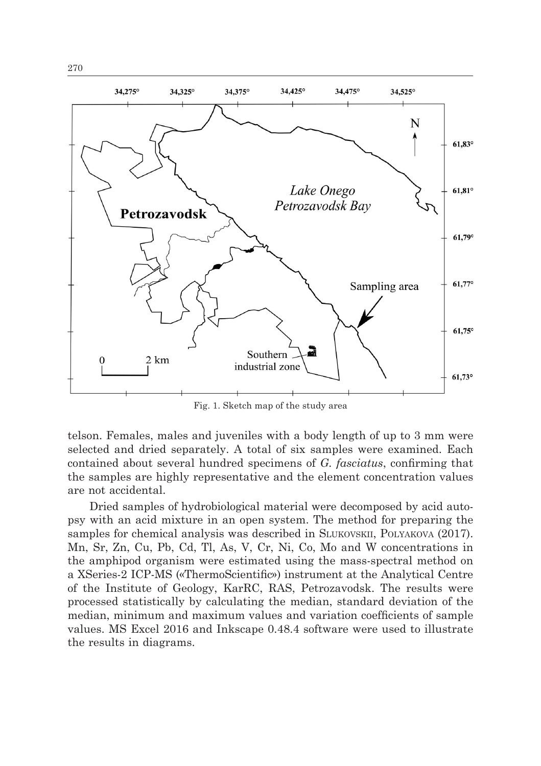

Fig. 1. Sketch map of the study area

telson. Females, males and juveniles with a body length of up to 3 mm were selected and dried separately. A total of six samples were examined. Each contained about several hundred specimens of *G. fasciatus*, confirming that the samples are highly representative and the element concentration values are not accidental.

Dried samples of hydrobiological material were decomposed by acid autopsy with an acid mixture in an open system. The method for preparing the samples for chemical analysis was described in SLUKOVSKII, POLYAKOVA (2017). Mn, Sr, Zn, Cu, Pb, Cd, Tl, As, V, Cr, Ni, Co, Mo and W concentrations in the amphipod organism were estimated using the mass-spectral method on a ХSeries-2 ICP-MS («ThermoScientific») instrument at the Analytical Centre of the Institute of Geology, KarRC, RAS, Petrozavodsk. The results were processed statistically by calculating the median, standard deviation of the median, minimum and maximum values and variation coefficients of sample values. MS Excel 2016 and Inkscape 0.48.4 software were used to illustrate the results in diagrams.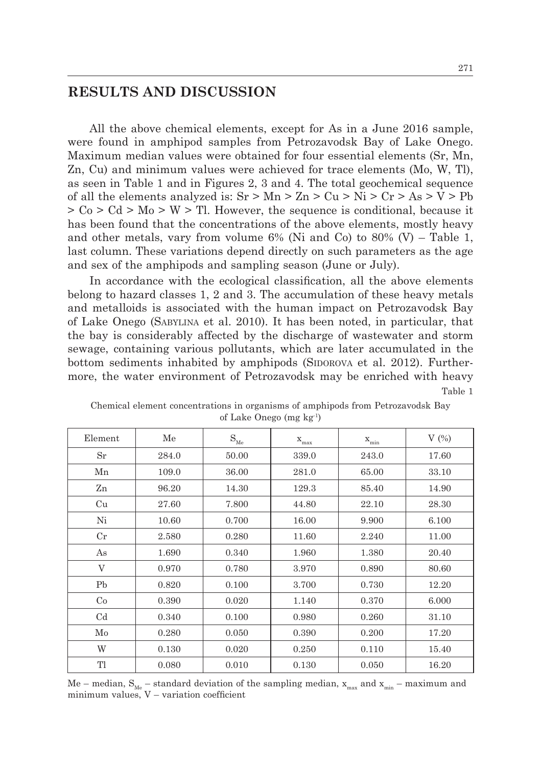## **RESULTS AND DISCUSSION**

All the above chemical elements, except for As in a June 2016 sample, were found in amphipod samples from Petrozavodsk Bay of Lake Onego. Maximum median values were obtained for four essential elements (Sr, Mn, Zn, Cu) and minimum values were achieved for trace elements (Mo, W, Tl), as seen in Table 1 and in Figures 2, 3 and 4. The total geochemical sequence of all the elements analyzed is:  $Sr > Mn > Zn > Cu > Ni > Cr > As > V > Pb$  $>$  Co  $>$  Cd  $>$  Mo  $>$  W  $>$  Tl. However, the sequence is conditional, because it has been found that the concentrations of the above elements, mostly heavy and other metals, vary from volume  $6\%$  (Ni and Co) to  $80\%$  (V) – Table 1, last column. These variations depend directly on such parameters as the age and sex of the amphipods and sampling season (June or July).

In accordance with the ecological classification, all the above elements belong to hazard classes 1, 2 and 3. The accumulation of these heavy metals and metalloids is associated with the human impact on Petrozavodsk Bay of Lake Onego (Sabylina et al. 2010). It has been noted, in particular, that the bay is considerably affected by the discharge of wastewater and storm sewage, containing various pollutants, which are later accumulated in the bottom sediments inhabited by amphipods (SIDOROVA et al. 2012). Furthermore, the water environment of Petrozavodsk may be enriched with heavy Table 1

| Element        | Me    | $\mathbf{S}_\text{Me}$ | $\mathbf{x}_{\text{max}}$ | $X_{min}$ | V(%)  |
|----------------|-------|------------------------|---------------------------|-----------|-------|
| Sr             | 284.0 | 50.00                  | 339.0                     | 243.0     | 17.60 |
| Mn             | 109.0 | 36.00                  | 281.0                     | 65.00     | 33.10 |
| Zn             | 96.20 | 14.30                  | 129.3                     | 85.40     | 14.90 |
| Cu             | 27.60 | 7.800                  | 44.80                     | 22.10     | 28.30 |
| Ni             | 10.60 | 0.700                  | 16.00                     | 9.900     | 6.100 |
| $_{\rm Cr}$    | 2.580 | 0.280                  | 11.60                     | 2.240     | 11.00 |
| As             | 1.690 | 0.340                  | 1.960                     | 1.380     | 20.40 |
| V              | 0.970 | 0.780                  | 3.970                     | 0.890     | 80.60 |
| P <sub>b</sub> | 0.820 | 0.100                  | 3.700                     | 0.730     | 12.20 |
| Co             | 0.390 | 0.020                  | 1.140                     | 0.370     | 6.000 |
| C <sub>d</sub> | 0.340 | 0.100                  | 0.980                     | 0.260     | 31.10 |
| Mo             | 0.280 | 0.050                  | 0.390                     | 0.200     | 17.20 |
| W              | 0.130 | 0.020                  | 0.250                     | 0.110     | 15.40 |
| Tl             | 0.080 | 0.010                  | 0.130                     | 0.050     | 16.20 |

Chemical element concentrations in organisms of amphipods from Petrozavodsk Bay of Lake Onego (mg kg-1)

Me – median,  $S_{Me}$  – standard deviation of the sampling median,  $x_{max}$  and  $x_{min}$  – maximum and minimum values, V – variation coefficient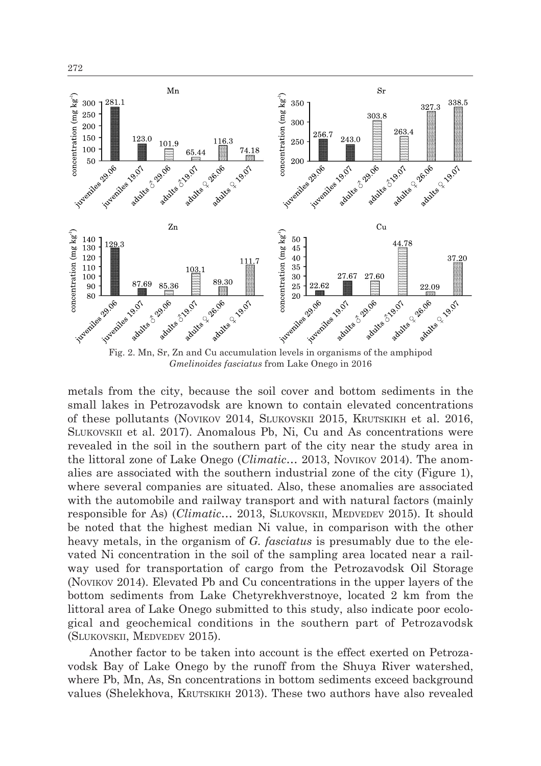

*Gmelinoides fasciatus* from Lake Onego in 2016

metals from the city, because the soil cover and bottom sediments in the small lakes in Petrozavodsk are known to contain elevated concentrations of these pollutants (Novikov 2014, Slukovskii 2015, Krutskikh et al. 2016, Slukovskii et al. 2017). Anomalous Pb, Ni, Cu and As concentrations were revealed in the soil in the southern part of the city near the study area in the littoral zone of Lake Onego (*Climatic…* 2013, Novikov 2014). The anomalies are associated with the southern industrial zone of the city (Figure 1), where several companies are situated. Also, these anomalies are associated with the automobile and railway transport and with natural factors (mainly responsible for As) (*Climatic...* 2013, SLUKOVSKII, MEDVEDEV 2015). It should be noted that the highest median Ni value, in comparison with the other heavy metals, in the organism of *G. fasciatus* is presumably due to the elevated Ni concentration in the soil of the sampling area located near a railway used for transportation of cargo from the Petrozavodsk Oil Storage (Novikov 2014). Elevated Pb and Cu concentrations in the upper layers of the bottom sediments from Lake Chetyrekhverstnoye, located 2 km from the littoral area of Lake Onego submitted to this study, also indicate poor ecological and geochemical conditions in the southern part of Petrozavodsk (Slukovskii, Medvedev 2015).

Another factor to be taken into account is the effect exerted on Petrozavodsk Bay of Lake Onego by the runoff from the Shuya River watershed, where Pb, Mn, As, Sn concentrations in bottom sediments exceed background values (Shelekhova, Krutskikh 2013). These two authors have also revealed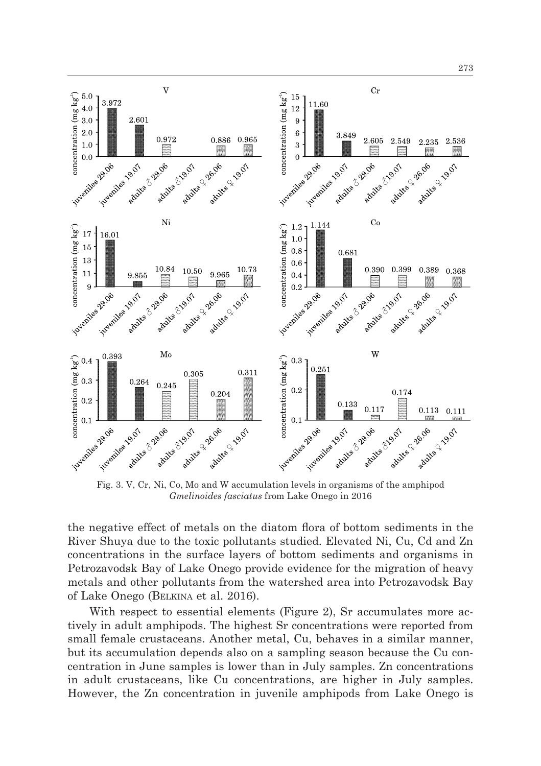

Fig. 3. V, Cr, Ni, Co, Mo and W accumulation levels in organisms of the amphipod *Gmelinoides fasciatus* from Lake Onego in 2016

the negative effect of metals on the diatom flora of bottom sediments in the River Shuya due to the toxic pollutants studied. Elevated Ni, Cu, Cd and Zn concentrations in the surface layers of bottom sediments and organisms in Petrozavodsk Bay of Lake Onego provide evidence for the migration of heavy metals and other pollutants from the watershed area into Petrozavodsk Bay of Lake Onego (Belkina et al. 2016).

With respect to essential elements (Figure 2), Sr accumulates more actively in adult amphipods. The highest Sr concentrations were reported from small female crustaceans. Another metal, Cu, behaves in a similar manner, but its accumulation depends also on a sampling season because the Cu concentration in June samples is lower than in July samples. Zn concentrations in adult crustaceans, like Cu concentrations, are higher in July samples. However, the Zn concentration in juvenile amphipods from Lake Onego is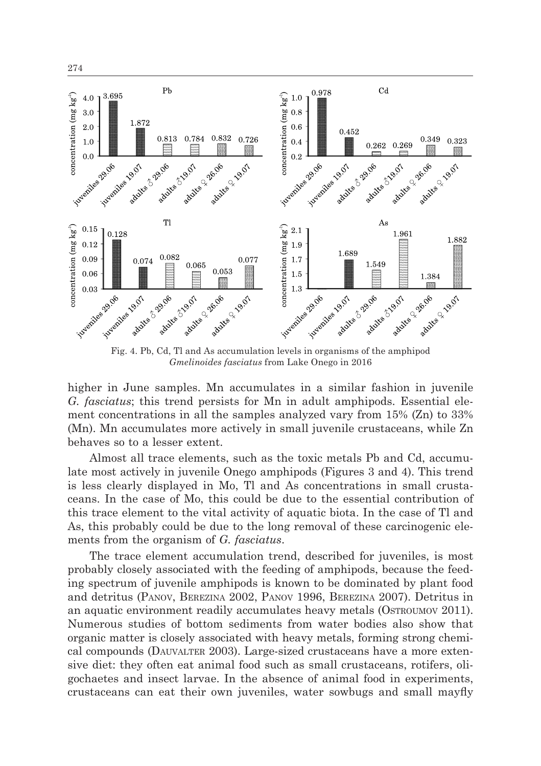

Fig. 4. Pb, Cd, Tl and As accumulation levels in organisms of the amphipod *Gmelinoides fasciatus* from Lake Onego in 2016

higher in June samples. Mn accumulates in a similar fashion in juvenile *G. fasciatus*; this trend persists for Mn in adult amphipods. Essential element concentrations in all the samples analyzed vary from 15% (Zn) to 33% (Mn). Mn accumulates more actively in small juvenile crustaceans, while Zn behaves so to a lesser extent.

Almost all trace elements, such as the toxic metals Pb and Cd, accumulate most actively in juvenile Onego amphipods (Figures 3 and 4). This trend is less clearly displayed in Mo, Tl and As concentrations in small crustaceans. In the case of Mo, this could be due to the essential contribution of this trace element to the vital activity of aquatic biota. In the case of Tl and As, this probably could be due to the long removal of these carcinogenic elements from the organism of *G. fasciatus*.

The trace element accumulation trend, described for juveniles, is most probably closely associated with the feeding of amphipods, because the feeding spectrum of juvenile amphipods is known to be dominated by plant food and detritus (Panov, Berezina 2002, Panov 1996, Berezina 2007). Detritus in an aquatic environment readily accumulates heavy metals (OSTROUMOV 2011). Numerous studies of bottom sediments from water bodies also show that organic matter is closely associated with heavy metals, forming strong chemical compounds (Dauvalter 2003). Large-sized crustaceans have a more extensive diet: they often eat animal food such as small crustaceans, rotifers, oligochaetes and insect larvae. In the absence of animal food in experiments, crustaceans can eat their own juveniles, water sowbugs and small mayfly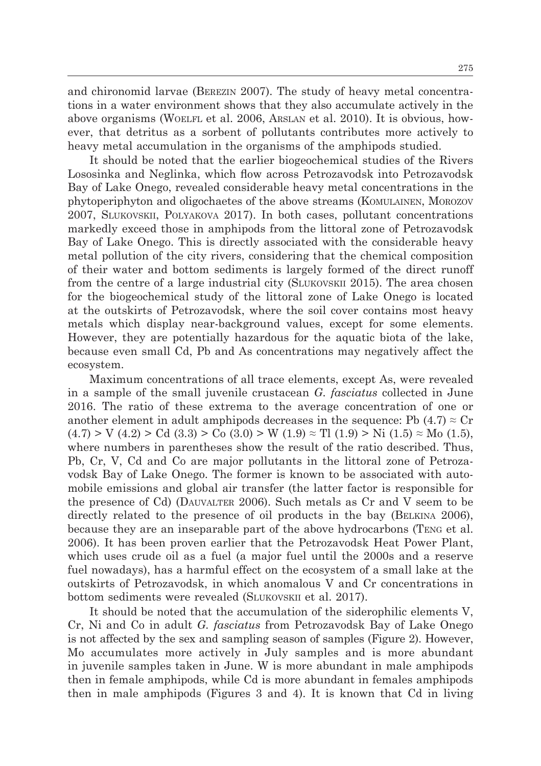and chironomid larvae (Berezin 2007). The study of heavy metal concentrations in a water environment shows that they also accumulate actively in the above organisms (WOELFL et al. 2006, ARSLAN et al. 2010). It is obvious, however, that detritus as a sorbent of pollutants contributes more actively to heavy metal accumulation in the organisms of the amphipods studied.

It should be noted that the earlier biogeochemical studies of the Rivers Lososinka and Neglinka, which flow across Petrozavodsk into Petrozavodsk Bay of Lake Onego, revealed considerable heavy metal concentrations in the phytoperiphyton and oligochaetes of the above streams (Komulainen, Morozov 2007, Slukovskii, Polyakova 2017). In both cases, pollutant concentrations markedly exceed those in amphipods from the littoral zone of Petrozavodsk Bay of Lake Onego. This is directly associated with the considerable heavy metal pollution of the city rivers, considering that the chemical composition of their water and bottom sediments is largely formed of the direct runoff from the centre of a large industrial city (SLUKOVSKII 2015). The area chosen for the biogeochemical study of the littoral zone of Lake Onego is located at the outskirts of Petrozavodsk, where the soil cover contains most heavy metals which display near-background values, except for some elements. However, they are potentially hazardous for the aquatic biota of the lake, because even small Cd, Pb and As concentrations may negatively affect the ecosystem.

Maximum concentrations of all trace elements, except As, were revealed in a sample of the small juvenile crustacean *G. fasciatus* collected in June 2016. The ratio of these extrema to the average concentration of one or another element in adult amphipods decreases in the sequence: Pb  $(4.7) \approx Cr$  $(4.7) > V (4.2) > Cd (3.3) > Co (3.0) > W (1.9) \approx Tl (1.9) > Ni (1.5) \approx Mo (1.5),$ where numbers in parentheses show the result of the ratio described. Thus, Pb, Cr, V, Cd and Co are major pollutants in the littoral zone of Petrozavodsk Bay of Lake Onego. The former is known to be associated with automobile emissions and global air transfer (the latter factor is responsible for the presence of Cd) (Dauvalter 2006). Such metals as Cr and V seem to be directly related to the presence of oil products in the bay (BELKINA 2006), because they are an inseparable part of the above hydrocarbons (Teng et al. 2006). It has been proven earlier that the Petrozavodsk Heat Power Plant, which uses crude oil as a fuel (a major fuel until the 2000s and a reserve fuel nowadays), has a harmful effect on the ecosystem of a small lake at the outskirts of Petrozavodsk, in which anomalous V and Cr concentrations in bottom sediments were revealed (Slukovskii et al. 2017).

It should be noted that the accumulation of the siderophilic elements V, Cr, Ni and Co in adult *G. fasciatus* from Petrozavodsk Bay of Lake Onego is not affected by the sex and sampling season of samples (Figure 2). However, Mo accumulates more actively in July samples and is more abundant in juvenile samples taken in June. W is more abundant in male amphipods then in female amphipods, while Cd is more abundant in females amphipods then in male amphipods (Figures 3 and 4). It is known that Cd in living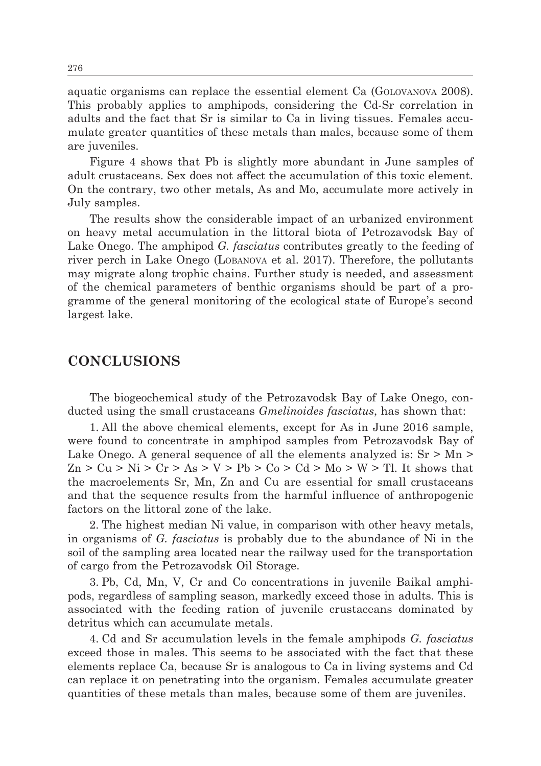aquatic organisms can replace the essential element Ca (Golovanova 2008). This probably applies to amphipods, considering the Cd-Sr correlation in adults and the fact that Sr is similar to Ca in living tissues. Females accumulate greater quantities of these metals than males, because some of them are juveniles.

Figure 4 shows that Pb is slightly more abundant in June samples of adult crustaceans. Sex does not affect the accumulation of this toxic element. On the contrary, two other metals, As and Mo, accumulate more actively in July samples.

The results show the considerable impact of an urbanized environment on heavy metal accumulation in the littoral biota of Petrozavodsk Bay of Lake Onego. The amphipod *G. fasciatus* contributes greatly to the feeding of river perch in Lake Onego (Lobanova et al. 2017). Therefore, the pollutants may migrate along trophic chains. Further study is needed, and assessment of the chemical parameters of benthic organisms should be part of a programme of the general monitoring of the ecological state of Europe's second largest lake.

### **CONCLUSIONS**

The biogeochemical study of the Petrozavodsk Bay of Lake Onego, conducted using the small crustaceans *Gmelinoides fasciatus*, has shown that:

1. All the above chemical elements, except for As in June 2016 sample, were found to concentrate in amphipod samples from Petrozavodsk Bay of Lake Onego. A general sequence of all the elements analyzed is:  $Sr > Mn >$  $Zn > Cu > Ni > Cr > As > V > Pb > Co > Cd > Mo > W > Tl$ . It shows that the macroelements Sr, Mn, Zn and Cu are essential for small crustaceans and that the sequence results from the harmful influence of anthropogenic factors on the littoral zone of the lake.

2. The highest median Ni value, in comparison with other heavy metals, in organisms of *G. fasciatus* is probably due to the abundance of Ni in the soil of the sampling area located near the railway used for the transportation of cargo from the Petrozavodsk Oil Storage.

3. Pb, Cd, Mn, V, Cr and Co concentrations in juvenile Baikal amphipods, regardless of sampling season, markedly exceed those in adults. This is associated with the feeding ration of juvenile crustaceans dominated by detritus which can accumulate metals.

4. Cd and Sr accumulation levels in the female amphipods *G. fasciatus* exceed those in males. This seems to be associated with the fact that these elements replace Ca, because Sr is analogous to Ca in living systems and Cd can replace it on penetrating into the organism. Females accumulate greater quantities of these metals than males, because some of them are juveniles.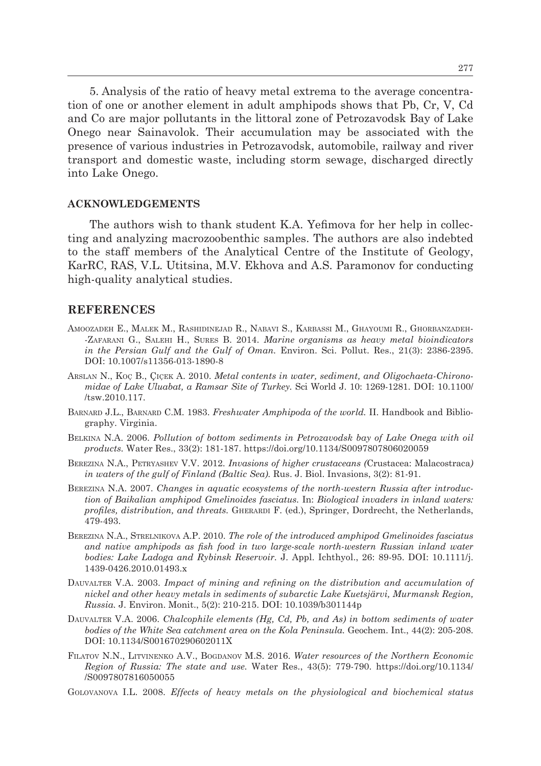5. Analysis of the ratio of heavy metal extrema to the average concentration of one or another element in adult amphipods shows that Pb, Cr, V, Cd and Co are major pollutants in the littoral zone of Petrozavodsk Bay of Lake Onego near Sainavolok. Their accumulation may be associated with the presence of various industries in Petrozavodsk, automobile, railway and river transport and domestic waste, including storm sewage, discharged directly into Lake Onego.

#### **ACKNOWLEDGEMENTS**

The authors wish to thank student K.А. Yefimova for her help in collecting and analyzing macrozoobenthic samples. The authors are also indebted to the staff members of the Analytical Centre of the Institute of Geology, KarRC, RAS, V.L. Utitsina, М.V. Ekhova and А.S. Paramonov for conducting high-quality analytical studies.

#### **REFERENCES**

- Amoozadeh E., Malek M., Rashidinejad R., Nabavi S., Karbassi M., Ghayoumi R., Ghorbanzadeh- -Zafarani G., Salehi H., Sures B. 2014. *Marine organisms as heavy metal bioindicators in the Persian Gulf and the Gulf of Oman.* Environ. Sci. Pollut. Res., 21(3): 2386-2395. DOI: 10.1007/s11356-013-1890-8
- Arslan N., Koç B., Çiçek A. 2010. *Metal contents in water, sediment, and Oligochaeta-Chironomidae of Lake Uluabat, a Ramsar Site of Turkey.* Sci World J. 10: 1269-1281. DOI: 10.1100/ /tsw.2010.117.
- Barnard J.L., Barnard C.M. 1983. *Freshwater Amphipoda of the world.* II. Handbook and Bibliography. Virginia.
- Belkina N.A. 2006. *Pollution of bottom sediments in Petrozavodsk bay of Lake Onega with oil products.* Water Res., 33(2): 181-187. https://doi.org/10.1134/S0097807806020059
- Berezina N.A., Petryashev V.V. 2012. *Invasions of higher crustaceans (*Crustacea: Malacostraca*) in waters of the gulf of Finland (Baltic Sea).* Rus. J. Biol. Invasions, 3(2): 81-91.
- Berezina N.A. 2007. *Changes in aquatic ecosystems of the north-western Russia after introduction of Baikalian amphipod Gmelinoides fasciatus.* In: *Biological invaders in inland waters: profiles, distribution, and threats.* GHERARDI F. (ed.), Springer, Dordrecht, the Netherlands, 479-493.
- Berezina N.A., Strelnikova A.P. 2010. *The role of the introduced amphipod Gmelinoides fasciatus and native amphipods as fish food in two large-scale north-western Russian inland water bodies: Lake Ladoga and Rybinsk Reservoir.* J. Appl. Ichthyol., 26: 89-95. DOI: 10.1111/j. 1439-0426.2010.01493.x
- DAUVALTER V.A. 2003. *Impact of mining and refining on the distribution and accumulation of nickel and other heavy metals in sediments of subarctic Lake Kuetsjärvi, Murmansk Region, Russia.* J. Environ. Monit., 5(2): 210-215. DOI: 10.1039/b301144p
- Dauvalter V.A. 2006. *Chalcophile elements (Hg, Cd, Pb, and As) in bottom sediments of water bodies of the White Sea catchment area on the Kola Peninsula.* Geochem. Int., 44(2): 205-208. DOI: 10.1134/S001670290602011X
- Filatov N.N., Litvinenko A.V., Bogdanov M.S. 2016. *Water resources of the Northern Economic Region of Russia: The state and use.* Water Res., 43(5): 779-790. https://doi.org/10.1134/ /S0097807816050055
- Golovanova I.L. 2008. *Effects of heavy metals on the physiological and biochemical status*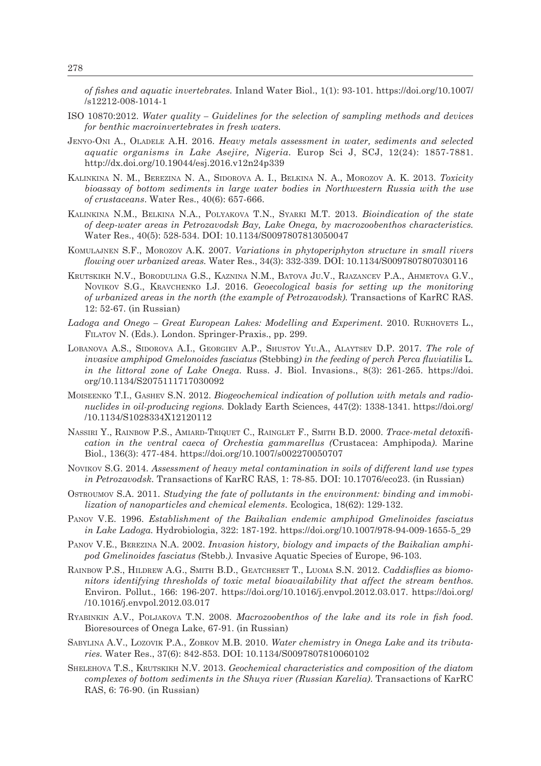*of fishes and aquatic invertebrates.* Inland Water Biol., 1(1): 93-101. https://doi.org/10.1007/ /s12212-008-1014-1

- ISO 10870:2012. *Water quality Guidelines for the selection of sampling methods and devices for benthic macroinvertebrates in fresh waters.*
- Jenyo-Oni A., Oladele A.H. 2016. *Heavy metals assessment in water, sediments and selected aquatic organisms in Lake Asejire, Nigeria.* Europ Sci J, SCJ, 12(24): 1857-7881. http://dx.doi.org/10.19044/esj.2016.v12n24p339
- Kalinkina N. M., Berezina N. A., Sidorova A. I., Belkina N. A., Morozov A. K. 2013. *Toxicity bioassay of bottom sediments in large water bodies in Northwestern Russia with the use of crustaceans*. Water Res., 40(6): 657-666.
- Kalinkina N.M., Belkina N.A., Polyakova T.N., Syarki M.T. 2013. *Bioindication of the state of deep-water areas in Petrozavodsk Bay, Lake Onega, by macrozoobenthos characteristics.* Water Res., 40(5): 528-534. DOI: 10.1134/S0097807813050047
- Komulajnen S.F., Morozov A.K. 2007. *Variations in phytoperiphyton structure in small rivers flowing over urbanized areas.* Water Res., 34(3): 332-339. DOI: 10.1134/S0097807807030116
- Krutskikh N.V., Borodulina G.S., Kaznina N.M., Batova Ju.V., Rjazancev P.A., Ahmetova G.V., Novikov S.G., Kravchenko I.J. 2016. *Geoecological basis for setting up the monitoring of urbanized areas in the north (the example of Petrozavodsk).* Transactions of KarRC RAS. 12: 52-67. (in Russian)
- Ladoga and Onego Great European Lakes: Modelling and Experiment. 2010. RUKHOVETS L., Filatov N. (Eds.). London. Springer-Praxis., pp. 299.
- Lobanova A.S., Sidorova A.I., Georgiev A.P., Shustov Yu.A., Alaytsev D.P. 2017. *The role of invasive amphipod Gmelonoides fasciatus (*Stebbing*) in the feeding of perch Perca fluviatilis* L*. in the littoral zone of Lake Onega*. Russ. J. Biol. Invasions., 8(3): 261-265. https://doi. org/10.1134/S2075111717030092
- Moiseenko T.I., Gashev S.N. 2012. *Biogeochemical indication of pollution with metals and radionuclides in oil-producing regions.* Doklady Earth Sciences, 447(2): 1338-1341. https://doi.org/ /10.1134/S1028334X12120112
- Nassiri Y., Rainbow P.S., Amiard-Triquet C., Rainglet F., Smith B.D. 2000. *Trace-metal detoxi*fi*cation in the ventral caeca of Orchestia gammarellus (*Crustacea: Amphipoda*)*. Marine Biol., 136(3): 477-484. https://doi.org/10.1007/s002270050707
- Novikov S.G. 2014. *Assessment of heavy metal contamination in soils of different land use types in Petrozavodsk.* Transactions of KarRC RAS, 1: 78-85. DOI: 10.17076/eco23. (in Russian)
- Ostroumov S.A. 2011. *Studying the fate of pollutants in the environment: binding and immobilization of nanoparticles and chemical elements*. Ecologica, 18(62): 129-132.
- Panov V.E. 1996. *Establishment of the Baikalian endemic amphipod Gmelinoides fasciatus in Lake Ladoga.* Hydrobiologia, 322: 187-192. https://doi.org/10.1007/978-94-009-1655-5\_29
- Panov V.E., Berezina N.A. 2002. *Invasion history, biology and impacts of the Baikalian amphipod Gmelinoides fasciatus (*Stebb.*).* Invasive Aquatic Species of Europe, 96-103.
- Rainbow P.S., Hildrew A.G., Smith B.D., Geatcheset T., Luoma S.N. 2012. *Caddisflies as biomonitors identifying thresholds of toxic metal bioavailability that affect the stream benthos.* Environ. Pollut., 166: 196-207. https://doi.org/10.1016/j.envpol.2012.03.017. https://doi.org/ /10.1016/j.envpol.2012.03.017
- Ryabinkin A.V., Poljakova T.N. 2008. *Macrozoobenthos of the lake and its role in fish food.*  Bioresources of Onega Lake, 67-91. (in Russian)
- Sabylina A.V., Lozovik P.A., Zobkov M.B. 2010. *Water chemistry in Onega Lake and its tributaries.* Water Res., 37(6): 842-853. DOI: 10.1134/S0097807810060102
- Shelehova T.S., Krutskikh N.V. 2013. *Geochemical characteristics and composition of the diatom complexes of bottom sediments in the Shuya river (Russian Karelia)*. Transactions of KarRC RAS, 6: 76-90. (in Russian)